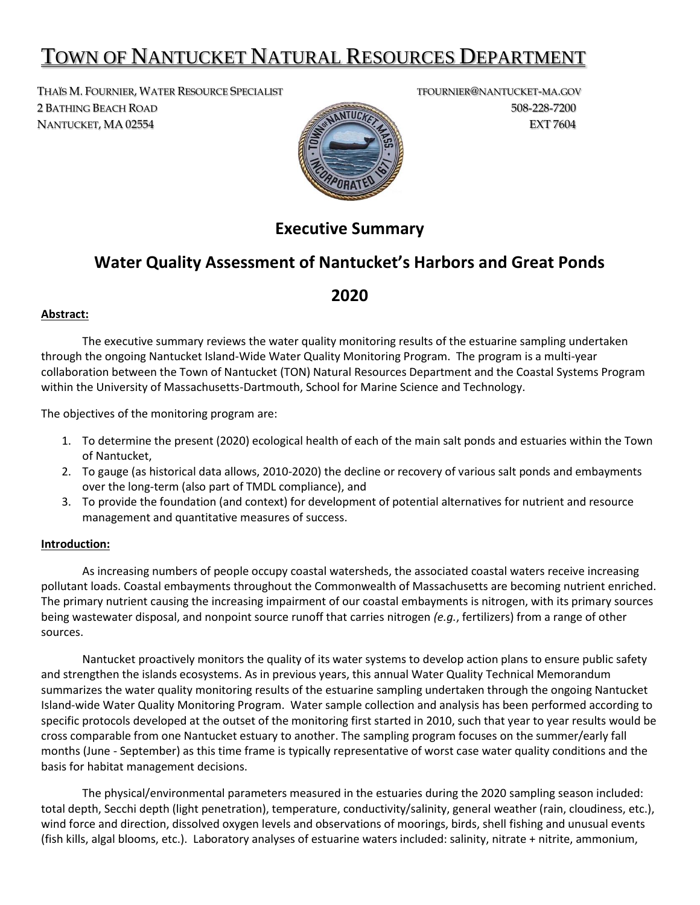# TOWN OF NANTUCKET NATURAL RESOURCES DEPARTMENT

THAÏS M. FOURNIER, WATER RESOURCE SPECIALIST TEALLY TROURNIER@NANTUCKET-MA.GOV 2 BATHING BEACH ROAD 508-228-7200 NANTUCKET, MA 02554 EXT 7604



# **Executive Summary**

# **Water Quality Assessment of Nantucket's Harbors and Great Ponds**

## **2020**

### **Abstract:**

The executive summary reviews the water quality monitoring results of the estuarine sampling undertaken through the ongoing Nantucket Island-Wide Water Quality Monitoring Program. The program is a multi-year collaboration between the Town of Nantucket (TON) Natural Resources Department and the Coastal Systems Program within the University of Massachusetts-Dartmouth, School for Marine Science and Technology.

The objectives of the monitoring program are:

- 1. To determine the present (2020) ecological health of each of the main salt ponds and estuaries within the Town of Nantucket,
- 2. To gauge (as historical data allows, 2010-2020) the decline or recovery of various salt ponds and embayments over the long-term (also part of TMDL compliance), and
- 3. To provide the foundation (and context) for development of potential alternatives for nutrient and resource management and quantitative measures of success.

### **Introduction:**

As increasing numbers of people occupy coastal watersheds, the associated coastal waters receive increasing pollutant loads. Coastal embayments throughout the Commonwealth of Massachusetts are becoming nutrient enriched. The primary nutrient causing the increasing impairment of our coastal embayments is nitrogen, with its primary sources being wastewater disposal, and nonpoint source runoff that carries nitrogen *(e.g.*, fertilizers) from a range of other sources.

Nantucket proactively monitors the quality of its water systems to develop action plans to ensure public safety and strengthen the islands ecosystems. As in previous years, this annual Water Quality Technical Memorandum summarizes the water quality monitoring results of the estuarine sampling undertaken through the ongoing Nantucket Island-wide Water Quality Monitoring Program. Water sample collection and analysis has been performed according to specific protocols developed at the outset of the monitoring first started in 2010, such that year to year results would be cross comparable from one Nantucket estuary to another. The sampling program focuses on the summer/early fall months (June - September) as this time frame is typically representative of worst case water quality conditions and the basis for habitat management decisions.

The physical/environmental parameters measured in the estuaries during the 2020 sampling season included: total depth, Secchi depth (light penetration), temperature, conductivity/salinity, general weather (rain, cloudiness, etc.), wind force and direction, dissolved oxygen levels and observations of moorings, birds, shell fishing and unusual events (fish kills, algal blooms, etc.). Laboratory analyses of estuarine waters included: salinity, nitrate + nitrite, ammonium,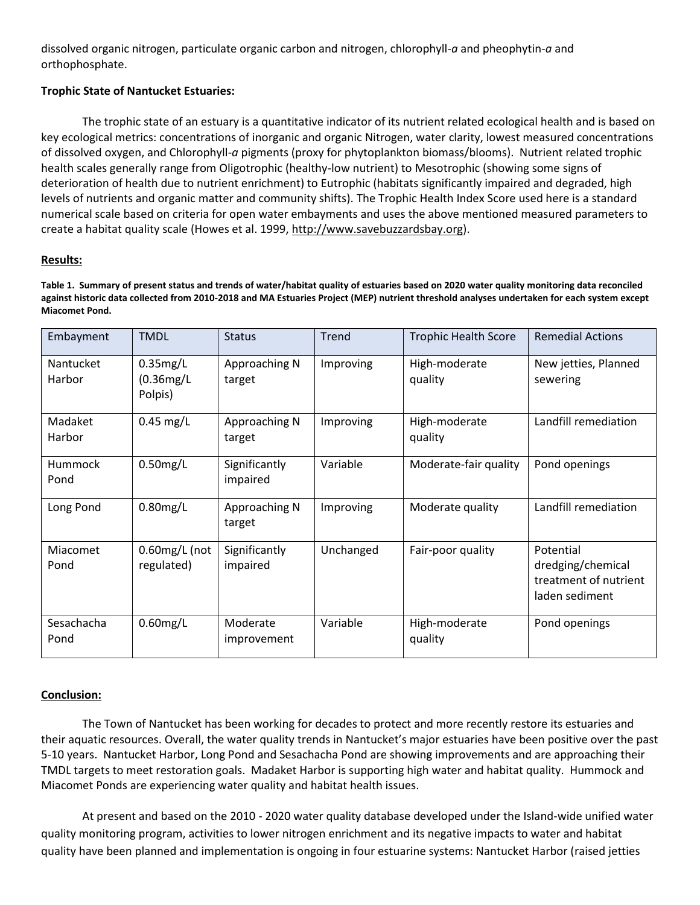dissolved organic nitrogen, particulate organic carbon and nitrogen, chlorophyll-*a* and pheophytin-*a* and orthophosphate.

### **Trophic State of Nantucket Estuaries:**

The trophic state of an estuary is a quantitative indicator of its nutrient related ecological health and is based on key ecological metrics: concentrations of inorganic and organic Nitrogen, water clarity, lowest measured concentrations of dissolved oxygen, and Chlorophyll-*a* pigments (proxy for phytoplankton biomass/blooms). Nutrient related trophic health scales generally range from Oligotrophic (healthy-low nutrient) to Mesotrophic (showing some signs of deterioration of health due to nutrient enrichment) to Eutrophic (habitats significantly impaired and degraded, high levels of nutrients and organic matter and community shifts). The Trophic Health Index Score used here is a standard numerical scale based on criteria for open water embayments and uses the above mentioned measured parameters to create a habitat quality scale (Howes et al. 1999, [http://www.savebuzzardsbay.org\)](http://www.savebuzzardsbay.org/).

### **Results:**

**Table 1. Summary of present status and trends of water/habitat quality of estuaries based on 2020 water quality monitoring data reconciled against historic data collected from 2010-2018 and MA Estuaries Project (MEP) nutrient threshold analyses undertaken for each system except Miacomet Pond.**

| Embayment           | <b>TMDL</b>                          | <b>Status</b>             | <b>Trend</b> | <b>Trophic Health Score</b> | <b>Remedial Actions</b>                                                   |
|---------------------|--------------------------------------|---------------------------|--------------|-----------------------------|---------------------------------------------------------------------------|
| Nantucket<br>Harbor | $0.35$ mg/L<br>(0.36mg/L)<br>Polpis) | Approaching N<br>target   | Improving    | High-moderate<br>quality    | New jetties, Planned<br>sewering                                          |
| Madaket<br>Harbor   | $0.45$ mg/L                          | Approaching N<br>target   | Improving    | High-moderate<br>quality    | Landfill remediation                                                      |
| Hummock<br>Pond     | $0.50$ mg/L                          | Significantly<br>impaired | Variable     | Moderate-fair quality       | Pond openings                                                             |
| Long Pond           | $0.80$ mg/L                          | Approaching N<br>target   | Improving    | Moderate quality            | Landfill remediation                                                      |
| Miacomet<br>Pond    | $0.60$ mg/L (not<br>regulated)       | Significantly<br>impaired | Unchanged    | Fair-poor quality           | Potential<br>dredging/chemical<br>treatment of nutrient<br>laden sediment |
| Sesachacha<br>Pond  | $0.60$ mg/L                          | Moderate<br>improvement   | Variable     | High-moderate<br>quality    | Pond openings                                                             |

#### **Conclusion:**

The Town of Nantucket has been working for decades to protect and more recently restore its estuaries and their aquatic resources. Overall, the water quality trends in Nantucket's major estuaries have been positive over the past 5-10 years. Nantucket Harbor, Long Pond and Sesachacha Pond are showing improvements and are approaching their TMDL targets to meet restoration goals. Madaket Harbor is supporting high water and habitat quality. Hummock and Miacomet Ponds are experiencing water quality and habitat health issues.

At present and based on the 2010 - 2020 water quality database developed under the Island-wide unified water quality monitoring program, activities to lower nitrogen enrichment and its negative impacts to water and habitat quality have been planned and implementation is ongoing in four estuarine systems: Nantucket Harbor (raised jetties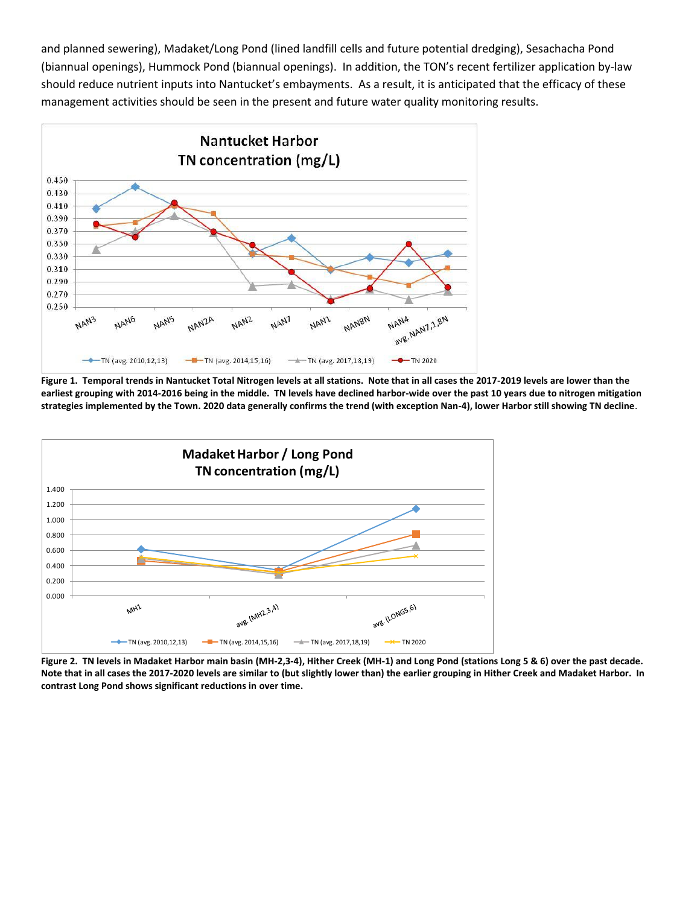and planned sewering), Madaket/Long Pond (lined landfill cells and future potential dredging), Sesachacha Pond (biannual openings), Hummock Pond (biannual openings). In addition, the TON's recent fertilizer application by-law should reduce nutrient inputs into Nantucket's embayments. As a result, it is anticipated that the efficacy of these management activities should be seen in the present and future water quality monitoring results.



**Figure 1. Temporal trends in Nantucket Total Nitrogen levels at all stations. Note that in all cases the 2017-2019 levels are lower than the earliest grouping with 2014-2016 being in the middle. TN levels have declined harbor-wide over the past 10 years due to nitrogen mitigation strategies implemented by the Town. 2020 data generally confirms the trend (with exception Nan-4), lower Harbor still showing TN decline**.



**Figure 2. TN levels in Madaket Harbor main basin (MH-2,3-4), Hither Creek (MH-1) and Long Pond (stations Long 5 & 6) over the past decade. Note that in all cases the 2017-2020 levels are similar to (but slightly lower than) the earlier grouping in Hither Creek and Madaket Harbor. In contrast Long Pond shows significant reductions in over time.**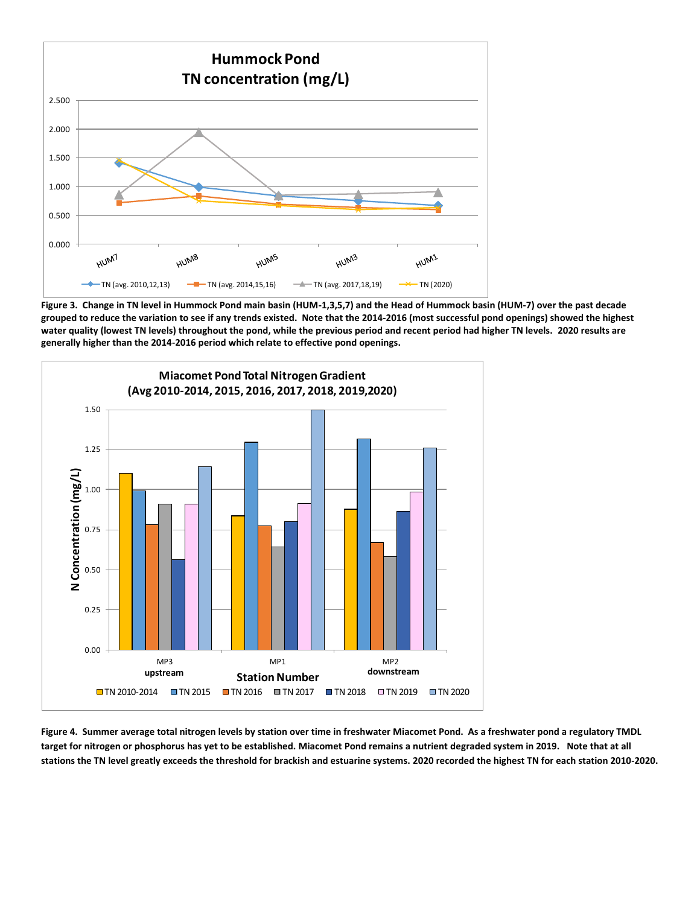

**Figure 3. Change in TN level in Hummock Pond main basin (HUM-1,3,5,7) and the Head of Hummock basin (HUM-7) over the past decade grouped to reduce the variation to see if any trends existed. Note that the 2014-2016 (most successful pond openings) showed the highest water quality (lowest TN levels) throughout the pond, while the previous period and recent period had higher TN levels. 2020 results are generally higher than the 2014-2016 period which relate to effective pond openings.**



**Figure 4. Summer average total nitrogen levels by station over time in freshwater Miacomet Pond. As a freshwater pond a regulatory TMDL target for nitrogen or phosphorus has yet to be established. Miacomet Pond remains a nutrient degraded system in 2019. Note that at all stations the TN level greatly exceeds the threshold for brackish and estuarine systems. 2020 recorded the highest TN for each station 2010-2020.**